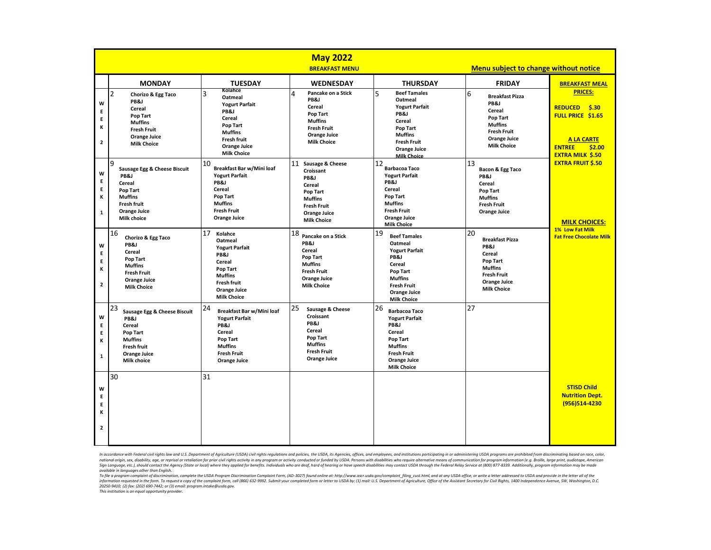|                                  | <b>May 2022</b><br>Menu subject to change without notice<br><b>BREAKFAST MENU</b>                                                                       |                                                                                                                                                                      |                                                                                                                                                     |                                                                                                                                                                                              |                                                                                                                                                 |                                                                                                                                                  |
|----------------------------------|---------------------------------------------------------------------------------------------------------------------------------------------------------|----------------------------------------------------------------------------------------------------------------------------------------------------------------------|-----------------------------------------------------------------------------------------------------------------------------------------------------|----------------------------------------------------------------------------------------------------------------------------------------------------------------------------------------------|-------------------------------------------------------------------------------------------------------------------------------------------------|--------------------------------------------------------------------------------------------------------------------------------------------------|
|                                  | <b>MONDAY</b>                                                                                                                                           | <b>TUESDAY</b>                                                                                                                                                       | <b>WEDNESDAY</b>                                                                                                                                    | <b>THURSDAY</b>                                                                                                                                                                              | <b>FRIDAY</b>                                                                                                                                   | <b>BREAKFAST MEAL</b>                                                                                                                            |
| W<br>E<br>E<br>к<br>$\mathbf{2}$ | $\overline{2}$<br>Chorizo & Egg Taco<br>PB&J<br>Cereal<br>Pop Tart<br><b>Muffins</b><br><b>Fresh Fruit</b><br><b>Orange Juice</b><br><b>Milk Choice</b> | Kolahce<br>3<br>Oatmeal<br><b>Yogurt Parfait</b><br>PB&J<br>Cereal<br>Pop Tart<br><b>Muffins</b><br><b>Fresh fruit</b><br><b>Orange Juice</b><br><b>Milk Choice</b>  | Pancake on a Stick<br>4<br>PB&J<br>Cereal<br>Pop Tart<br><b>Muffins</b><br><b>Fresh Fruit</b><br><b>Orange Juice</b><br><b>Milk Choice</b>          | $\overline{5}$<br><b>Beef Tamales</b><br>Oatmeal<br><b>Yogurt Parfait</b><br>PB&J<br>Cereal<br>Pop Tart<br><b>Muffins</b><br><b>Fresh Fruit</b><br><b>Orange Juice</b><br><b>Milk Choice</b> | 6<br><b>Breakfast Pizza</b><br>PB&J<br>Cereal<br>Pop Tart<br><b>Muffins</b><br><b>Fresh Fruit</b><br><b>Orange Juice</b><br><b>Milk Choice</b>  | <b>PRICES:</b><br>\$.30<br><b>REDUCED</b><br><b>FULL PRICE \$1.65</b><br><b>A LA CARTE</b><br>\$2.00<br><b>ENTREE</b><br><b>EXTRA MILK \$.50</b> |
| W<br>E<br>E<br>к<br>$\mathbf{1}$ | <b>g</b><br>Sausage Egg & Cheese Biscuit<br>PB&J<br>Cereal<br>Pop Tart<br><b>Muffins</b><br><b>Fresh fruit</b><br><b>Orange Juice</b><br>Milk choice    | 10<br>Breakfast Bar w/Mini loaf<br><b>Yogurt Parfait</b><br>PB&J<br>Cereal<br>Pop Tart<br><b>Muffins</b><br><b>Fresh Fruit</b><br><b>Orange Juice</b>                | 11 Sausage & Cheese<br>Croissant<br>PB&J<br>Cereal<br>Pop Tart<br><b>Muffins</b><br><b>Fresh Fruit</b><br><b>Orange Juice</b><br><b>Milk Choice</b> | 12<br><b>Barbacoa Taco</b><br><b>Yogurt Parfait</b><br>PB&J<br>Cereal<br>Pop Tart<br><b>Muffins</b><br><b>Fresh Fruit</b><br><b>Orange Juice</b><br><b>Milk Choice</b>                       | 13<br>Bacon & Egg Taco<br>PB&J<br>Cereal<br>Pop Tart<br><b>Muffins</b><br><b>Fresh Fruit</b><br>Orange Juice                                    | <b>EXTRA FRUIT \$.50</b><br><b>MILK CHOICES:</b>                                                                                                 |
| W<br>E<br>E<br>к<br>$\mathbf{2}$ | 16<br>Chorizo & Egg Taco<br>PB&J<br><b>Cereal</b><br>Pop Tart<br><b>Muffins</b><br><b>Fresh Fruit</b><br><b>Orange Juice</b><br><b>Milk Choice</b>      | 17<br>Kolahce<br>Oatmeal<br><b>Yogurt Parfait</b><br>PB&J<br>Cereal<br>Pop Tart<br><b>Muffins</b><br><b>Fresh fruit</b><br><b>Orange Juice</b><br><b>Milk Choice</b> | 18 Pancake on a Stick<br>PB&J<br>Cereal<br>Pop Tart<br><b>Muffins</b><br><b>Fresh Fruit</b><br><b>Orange Juice</b><br><b>Milk Choice</b>            | 19<br><b>Beef Tamales</b><br>Oatmeal<br><b>Yogurt Parfait</b><br>PB&J<br><b>Cereal</b><br>Pop Tart<br><b>Muffins</b><br><b>Fresh Fruit</b><br><b>Orange Juice</b><br><b>Milk Choice</b>      | 20<br><b>Breakfast Pizza</b><br>PB&J<br>Cereal<br>Pop Tart<br><b>Muffins</b><br><b>Fresh Fruit</b><br><b>Orange Juice</b><br><b>Milk Choice</b> | <b>1% Low Fat Milk</b><br><b>Fat Free Chocolate Milk</b>                                                                                         |
| W<br>E<br>E<br>к<br>$\mathbf{1}$ | 23<br>Sausage Egg & Cheese Biscuit<br>PB&J<br>Cereal<br>Pop Tart<br><b>Muffins</b><br><b>Fresh fruit</b><br><b>Orange Juice</b><br><b>Milk choice</b>   | 24<br>Breakfast Bar w/Mini loaf<br><b>Yogurt Parfait</b><br>PB&J<br>Cereal<br>Pop Tart<br><b>Muffins</b><br><b>Fresh Fruit</b><br>Orange Juice                       | 25<br>Sausage & Cheese<br>Croissant<br>PB&J<br>Cereal<br>Pop Tart<br><b>Muffins</b><br><b>Fresh Fruit</b><br><b>Orange Juice</b>                    | 26<br><b>Barbacoa Taco</b><br><b>Yogurt Parfait</b><br>PB&J<br>Cereal<br>Pop Tart<br><b>Muffins</b><br><b>Fresh Fruit</b><br><b>Orange Juice</b><br><b>Milk Choice</b>                       | 27                                                                                                                                              |                                                                                                                                                  |
| W<br>Е<br>E<br>к<br>$\mathbf{2}$ | 30                                                                                                                                                      | 31                                                                                                                                                                   |                                                                                                                                                     |                                                                                                                                                                                              |                                                                                                                                                 | <b>STISD Child</b><br><b>Nutrition Dept.</b><br>(956)514-4230                                                                                    |

In accordance with Federal civil rights law and U.S. Department of Agriculture (USDA) civil rights regulations and policies, the USDA, its Agencies, offices, and employees, and institutions participating in or administerin national origin, sex, disability, age, or reprisal or retaliation for prior civil rights activity in any program or activity conducted or funded by USDA. Persons with disabilities who require alternative means of communica Sign Language, etc.), should contact the Agency (State or local) where they applied for benefits. individuals who are deaf, hard of hearing or have speech disabilities may contact USDA through the Federal Relay Service at

available in languages other than English.<br>To file a program complaint of discrimination, complete the USDA Program Discrimination Complaint Form, (AD-3027) found online at: http://www.ascr.usda.gov/complaint\_filing\_cust.h

*This institution is an equal opportunity provider.*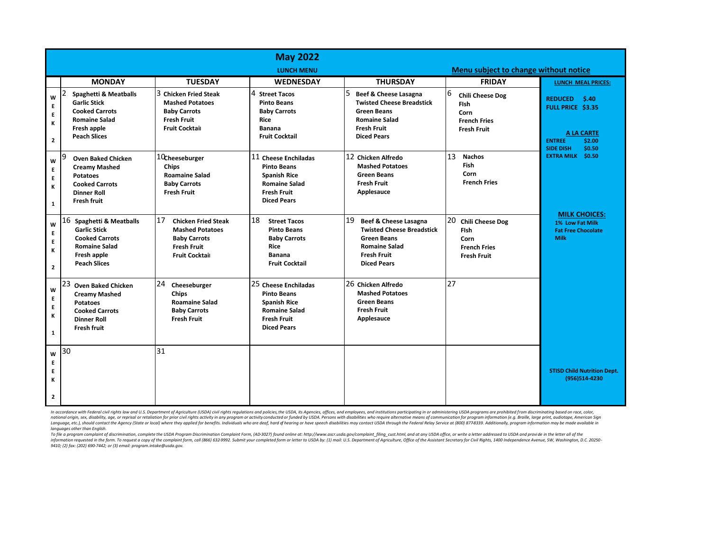|                                             | <b>May 2022</b>                                                                                                                                      |                                                                                                                                  |                                                                                                                                       |                                                                                                                                                           |                                                                                                   |                                                                                                                            |  |
|---------------------------------------------|------------------------------------------------------------------------------------------------------------------------------------------------------|----------------------------------------------------------------------------------------------------------------------------------|---------------------------------------------------------------------------------------------------------------------------------------|-----------------------------------------------------------------------------------------------------------------------------------------------------------|---------------------------------------------------------------------------------------------------|----------------------------------------------------------------------------------------------------------------------------|--|
|                                             |                                                                                                                                                      | <b>LUNCH MENU</b>                                                                                                                |                                                                                                                                       |                                                                                                                                                           | Menu subject to change without notice                                                             |                                                                                                                            |  |
|                                             | <b>MONDAY</b>                                                                                                                                        | <b>TUESDAY</b>                                                                                                                   | <b>WEDNESDAY</b>                                                                                                                      | <b>THURSDAY</b>                                                                                                                                           | <b>FRIDAY</b>                                                                                     | <b>LUNCH MEAL PRICES:</b>                                                                                                  |  |
| W<br>E<br>E<br>К<br>$\mathbf{2}$            | <b>Spaghetti &amp; Meatballs</b><br><b>Garlic Stick</b><br><b>Cooked Carrots</b><br><b>Romaine Salad</b><br>Fresh apple<br><b>Peach Slices</b>       | 3 Chicken Fried Steak<br><b>Mashed Potatoes</b><br><b>Baby Carrots</b><br><b>Fresh Fruit</b><br><b>Fruit Cocktail</b>            | 4 Street Tacos<br><b>Pinto Beans</b><br><b>Baby Carrots</b><br>Rice<br>Banana<br><b>Fruit Cocktail</b>                                | 5<br>Beef & Cheese Lasagna<br><b>Twisted Cheese Breadstick</b><br><b>Green Beans</b><br><b>Romaine Salad</b><br><b>Fresh Fruit</b><br><b>Diced Pears</b>  | 6<br><b>Chili Cheese Dog</b><br><b>Fish</b><br>Corn<br><b>French Fries</b><br><b>Fresh Fruit</b>  | \$.40<br><b>REDUCED</b><br>FULL PRICE \$3.35<br><b>A LA CARTE</b><br><b>ENTREE</b><br>\$2.00<br><b>SIDE DISH</b><br>\$0.50 |  |
| W<br>E<br>E<br>К<br>$\mathbf{1}$            | 19<br><b>Oven Baked Chicken</b><br><b>Creamy Mashed</b><br><b>Potatoes</b><br><b>Cooked Carrots</b><br><b>Dinner Roll</b><br><b>Fresh fruit</b>      | 10cheeseburger<br>Chips<br><b>Roamaine Salad</b><br><b>Baby Carrots</b><br><b>Fresh Fruit</b>                                    | 11 Cheese Enchiladas<br><b>Pinto Beans</b><br><b>Spanish Rice</b><br><b>Romaine Salad</b><br><b>Fresh Fruit</b><br><b>Diced Pears</b> | 12 Chicken Alfredo<br><b>Mashed Potatoes</b><br><b>Green Beans</b><br><b>Fresh Fruit</b><br>Applesauce                                                    | 13<br><b>Nachos</b><br><b>Fish</b><br>Corn<br><b>French Fries</b>                                 | <b>EXTRA MILK \$0.50</b><br><b>MILK CHOICES:</b>                                                                           |  |
| W<br>E<br>E<br>Κ<br>$\overline{\mathbf{2}}$ | 16<br><b>Spaghetti &amp; Meatballs</b><br><b>Garlic Stick</b><br><b>Cooked Carrots</b><br><b>Romaine Salad</b><br>Fresh apple<br><b>Peach Slices</b> | 17<br><b>Chicken Fried Steak</b><br><b>Mashed Potatoes</b><br><b>Baby Carrots</b><br><b>Fresh Fruit</b><br><b>Fruit Cocktail</b> | 18<br><b>Street Tacos</b><br><b>Pinto Beans</b><br><b>Baby Carrots</b><br><b>Rice</b><br><b>Banana</b><br><b>Fruit Cocktail</b>       | 19<br>Beef & Cheese Lasagna<br><b>Twisted Cheese Breadstick</b><br><b>Green Beans</b><br><b>Romaine Salad</b><br><b>Fresh Fruit</b><br><b>Diced Pears</b> | 20<br><b>Chili Cheese Dog</b><br><b>Fish</b><br>Corn<br><b>French Fries</b><br><b>Fresh Fruit</b> | 1% Low Fat Milk<br><b>Fat Free Chocolate</b><br><b>Milk</b>                                                                |  |
| W<br>E<br>E<br>К<br>$\mathbf 1$             | 23<br><b>Oven Baked Chicken</b><br><b>Creamy Mashed</b><br><b>Potatoes</b><br><b>Cooked Carrots</b><br><b>Dinner Roll</b><br><b>Fresh fruit</b>      | 24<br>Cheeseburger<br><b>Chips</b><br><b>Roamaine Salad</b><br><b>Baby Carrots</b><br><b>Fresh Fruit</b>                         | 25 Cheese Enchiladas<br><b>Pinto Beans</b><br><b>Spanish Rice</b><br><b>Romaine Salad</b><br><b>Fresh Fruit</b><br><b>Diced Pears</b> | 26 Chicken Alfredo<br><b>Mashed Potatoes</b><br><b>Green Beans</b><br><b>Fresh Fruit</b><br>Applesauce                                                    | 27                                                                                                |                                                                                                                            |  |
| W<br>E<br>E<br>К<br>$\mathbf{2}$            | 30                                                                                                                                                   | 31                                                                                                                               |                                                                                                                                       |                                                                                                                                                           |                                                                                                   | <b>STISD Child Nutrition Dept.</b><br>(956)514-4230                                                                        |  |

In accordance with Federal civil rights law and U.S. Department of Agriculture (USDA) civil rights regulations and policies, the USDA, its Agencies, offices, and employees, and institutions participating in or administerin Language, etc.), should contact the Agency (State or local) where they applied for benefits. Individuals who are dearly hard of hearing or have speech disabilities may contact USDA through the Federal Relay Service at (800 *languages other than English.* 

ran in the a program completing of discrimination, complete the USDA Program Discrimination Complaint Form, (AD-3027) found online at: http://www.ascr.usda.gov/complaint\_filing\_cust.html, and at any USDA office, or write a information requested in the form. To request a copy of the comploint form, call (866) 632-9992. Submit your completed form or letter to USDA by: (1) mail: U.S. Department of Agriculture, Office of the Assistant Secretary *9410; (2) fax: (202) 690-7442; or (3) email: program.intake@usda.gov.*